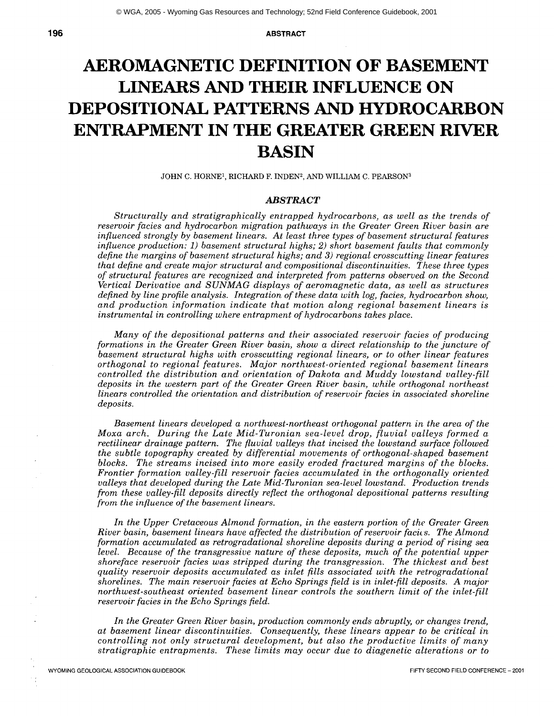**196 ABSTRACT** 

# **AEROMAGNETIC DEFINITION OF BASEMENT LINEARS AND THEIR INFLUENCE ON DEPOSITIONAI, PATTERNS AND HYDROCARBON ENTRAPMENT IN THE GREATER GREEN RIVER BASIN**

JOHN C. HORNE<sup>1</sup>, RICHARD F. INDEN<sup>2</sup>, AND WILLIAM C. PEARSON<sup>3</sup>

#### *ABSTRACT*

*Structurally and stratigraphically entrapped hydrocarbons, as well as the trends of reservoir facies and hydrocarbon migration pathways in the Greater Green River basin are influenced strongly by basement linears. At least three types of basement structural features influence production: 1) basement structural highs; 2) short basement faults that commonly define the margins of basement structural highs; and 3) regional crosscutting linear features that define and create major structural and compositional discontinuities. These three types of structural features are recognized and interpreted from patterns observed on the Second Vertical Derivative and SUNMAG displays of aeromagnetic data, as well as structures defined by line profile analysis. Integration of these data with log, facies, hydrocarbon show, and production information indicate that motion along regional basement linears is instrumental in controlling where entrapment of hydrocarbons takes place.* 

*Many of the depositional patterns and their associated reservoir facies of producing formations in the Greater Green River basin, show a direct relationship to the juncture of basement structural highs with crosscutting regional linears, or to other linear features orthogonal to regional features. Major northwest-oriented regional basement linears controlled the distribution and orientation of Dakota and Muddy lowstand valley-fill deposits in the western part of the Greater Green River basin, while orthogonal northeast linears controlled the orientation and distribution of reservoir facies in associated shoreline deposits.* 

*Basement linears developed a northwest-northeast orthogonal pattern in the area of the Moxa arch. During the Late Mid-Turonian sea-level drop, fluvial valleys formed a*  rectilinear drainage pattern. The fluvial valleys that incised the lowstand surface followed *the subtle topography created by differential movements of orthogonal-shaped basement blocks. The streams incised into more easily eroded fractured margins of the blocks. Frontier formation valley-fill reservoir facies accumulated in the orthogonaUy oriented valleys that developed during the Late Mid-Turonian sea-level lowstand. Production trends from these valley-fill deposits directly reflect the orthogonal depositional patterns resulting from the influence of the basement linears.* 

*In the Upper Cretaceous Almond formation, in the eastern portion of the Greater Green River basin, basement linears have affected the distribution of reservoir facies. The Almond formation accumulated as retrogradational shoreline deposits during a period of rising sea level. Because of the transgressive nature of these deposits, much of the potential upper shoreface reservoir facies was stripped during the transgression. The thickest and best quality reservoir deposits accumulated as inlet fills associated with the retrogradational shorelines. The main reservoir facies at Echo Springs field is in inlet-fill deposits. A major northwest-southeast oriented basement linear controls the southern limit of the inlet-fill reservoir facies in the Echo Springs field.* 

*In the Greater Green River basin, production commonly ends abruptly, or changes trend, at basement linear discontinuities. Consequently, these linears appear to be critical in controlling not only structural development, but also the productive limits of many stratigraphic entrapments. These limits may occur due to diagenetic alterations or to*